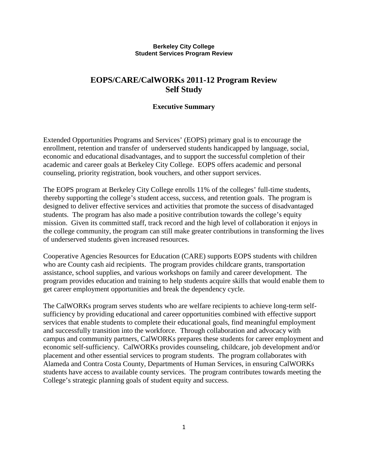#### **Berkeley City College Student Services Program Review**

# **EOPS/CARE/CalWORKs 2011-12 Program Review Self Study**

## **Executive Summary**

Extended Opportunities Programs and Services' (EOPS) primary goal is to encourage the enrollment, retention and transfer of underserved students handicapped by language, social, economic and educational disadvantages, and to support the successful completion of their academic and career goals at Berkeley City College. EOPS offers academic and personal counseling, priority registration, book vouchers, and other support services.

The EOPS program at Berkeley City College enrolls 11% of the colleges' full-time students, thereby supporting the college's student access, success, and retention goals. The program is designed to deliver effective services and activities that promote the success of disadvantaged students. The program has also made a positive contribution towards the college's equity mission. Given its committed staff, track record and the high level of collaboration it enjoys in the college community, the program can still make greater contributions in transforming the lives of underserved students given increased resources.

Cooperative Agencies Resources for Education (CARE) supports EOPS students with children who are County cash aid recipients. The program provides childcare grants, transportation assistance, school supplies, and various workshops on family and career development. The program provides education and training to help students acquire skills that would enable them to get career employment opportunities and break the dependency cycle.

The CalWORKs program serves students who are welfare recipients to achieve long-term selfsufficiency by providing educational and career opportunities combined with effective support services that enable students to complete their educational goals, find meaningful employment and successfully transition into the workforce. Through collaboration and advocacy with campus and community partners, CalWORKs prepares these students for career employment and economic self-sufficiency. CalWORKs provides counseling, childcare, job development and/or placement and other essential services to program students. The program collaborates with Alameda and Contra Costa County, Departments of Human Services, in ensuring CalWORKs students have access to available county services. The program contributes towards meeting the College's strategic planning goals of student equity and success.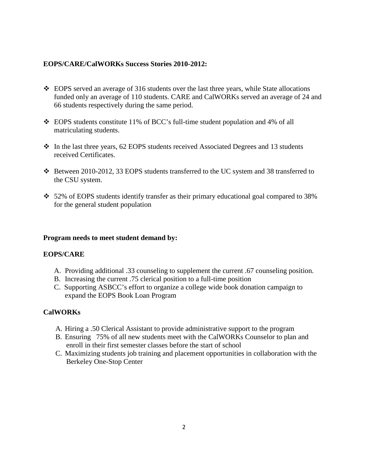## **EOPS/CARE/CalWORKs Success Stories 2010-2012:**

- EOPS served an average of 316 students over the last three years, while State allocations funded only an average of 110 students. CARE and CalWORKs served an average of 24 and 66 students respectively during the same period.
- EOPS students constitute 11% of BCC's full-time student population and 4% of all matriculating students.
- $\div$  In the last three years, 62 EOPS students received Associated Degrees and 13 students received Certificates.
- Between 2010-2012, 33 EOPS students transferred to the UC system and 38 transferred to the CSU system.
- 52% of EOPS students identify transfer as their primary educational goal compared to 38% for the general student population

## **Program needs to meet student demand by:**

## **EOPS/CARE**

- A. Providing additional .33 counseling to supplement the current .67 counseling position.
- B. Increasing the current .75 clerical position to a full-time position
- C. Supporting ASBCC's effort to organize a college wide book donation campaign to expand the EOPS Book Loan Program

# **CalWORKs**

- A. Hiring a .50 Clerical Assistant to provide administrative support to the program
- B. Ensuring 75% of all new students meet with the CalWORKs Counselor to plan and enroll in their first semester classes before the start of school
- C. Maximizing students job training and placement opportunities in collaboration with the Berkeley One-Stop Center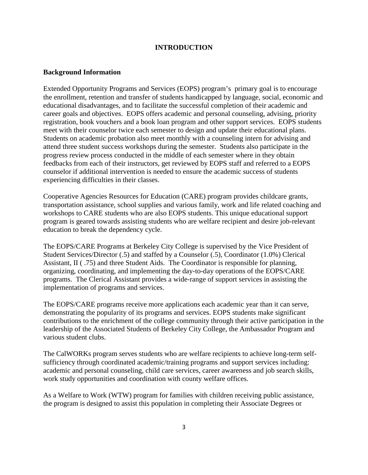### **INTRODUCTION**

#### **Background Information**

Extended Opportunity Programs and Services (EOPS) program's primary goal is to encourage the enrollment, retention and transfer of students handicapped by language, social, economic and educational disadvantages, and to facilitate the successful completion of their academic and career goals and objectives. EOPS offers academic and personal counseling, advising, priority registration, book vouchers and a book loan program and other support services. EOPS students meet with their counselor twice each semester to design and update their educational plans. Students on academic probation also meet monthly with a counseling intern for advising and attend three student success workshops during the semester. Students also participate in the progress review process conducted in the middle of each semester where in they obtain feedbacks from each of their instructors, get reviewed by EOPS staff and referred to a EOPS counselor if additional intervention is needed to ensure the academic success of students experiencing difficulties in their classes.

Cooperative Agencies Resources for Education (CARE) program provides childcare grants, transportation assistance, school supplies and various family, work and life related coaching and workshops to CARE students who are also EOPS students. This unique educational support program is geared towards assisting students who are welfare recipient and desire job-relevant education to break the dependency cycle.

The EOPS/CARE Programs at Berkeley City College is supervised by the Vice President of Student Services/Director (.5) and staffed by a Counselor (.5), Coordinator (1.0%) Clerical Assistant, II ( .75) and three Student Aids. The Coordinator is responsible for planning, organizing, coordinating, and implementing the day-to-day operations of the EOPS/CARE programs. The Clerical Assistant provides a wide-range of support services in assisting the implementation of programs and services.

The EOPS/CARE programs receive more applications each academic year than it can serve, demonstrating the popularity of its programs and services. EOPS students make significant contributions to the enrichment of the college community through their active participation in the leadership of the Associated Students of Berkeley City College, the Ambassador Program and various student clubs.

The CalWORKs program serves students who are welfare recipients to achieve long-term selfsufficiency through coordinated academic/training programs and support services including: academic and personal counseling, child care services, career awareness and job search skills, work study opportunities and coordination with county welfare offices.

As a Welfare to Work (WTW) program for families with children receiving public assistance, the program is designed to assist this population in completing their Associate Degrees or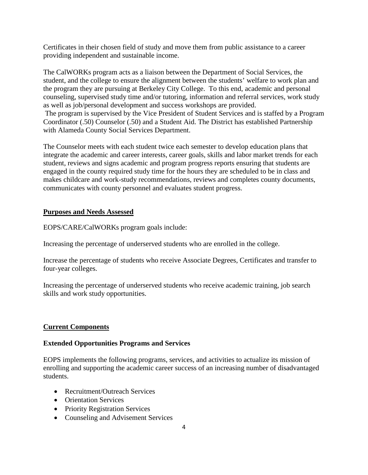Certificates in their chosen field of study and move them from public assistance to a career providing independent and sustainable income.

The CalWORKs program acts as a liaison between the Department of Social Services, the student, and the college to ensure the alignment between the students' welfare to work plan and the program they are pursuing at Berkeley City College. To this end, academic and personal counseling, supervised study time and/or tutoring, information and referral services, work study as well as job/personal development and success workshops are provided.

The program is supervised by the Vice President of Student Services and is staffed by a Program Coordinator (.50) Counselor (.50) and a Student Aid. The District has established Partnership with Alameda County Social Services Department.

The Counselor meets with each student twice each semester to develop education plans that integrate the academic and career interests, career goals, skills and labor market trends for each student, reviews and signs academic and program progress reports ensuring that students are engaged in the county required study time for the hours they are scheduled to be in class and makes childcare and work-study recommendations, reviews and completes county documents, communicates with county personnel and evaluates student progress.

## **Purposes and Needs Assessed**

EOPS/CARE/CalWORKs program goals include:

Increasing the percentage of underserved students who are enrolled in the college.

Increase the percentage of students who receive Associate Degrees, Certificates and transfer to four-year colleges.

Increasing the percentage of underserved students who receive academic training, job search skills and work study opportunities.

## **Current Components**

#### **Extended Opportunities Programs and Services**

EOPS implements the following programs, services, and activities to actualize its mission of enrolling and supporting the academic career success of an increasing number of disadvantaged students.

- Recruitment/Outreach Services
- Orientation Services
- Priority Registration Services
- Counseling and Advisement Services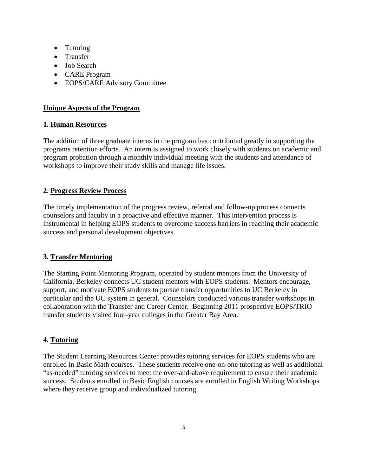- Tutoring
- Transfer
- Job Search
- CARE Program
- EOPS/CARE Advisory Committee

# **Unique Aspects of the Program**

# **1. Human Resources**

The addition of three graduate interns in the program has contributed greatly in supporting the programs retention efforts. An intern is assigned to work closely with students on academic and program probation through a monthly individual meeting with the students and attendance of workshops to improve their study skills and manage life issues.

# **2. Progress Review Process**

The timely implementation of the progress review, referral and follow-up process connects counselors and faculty in a proactive and effective manner. This intervention process is instrumental in helping EOPS students to overcome success barriers in reaching their academic success and personal development objectives.

# **3. Transfer Mentoring**

The Starting Point Mentoring Program, operated by student mentors from the University of California, Berkeley connects UC student mentors with EOPS students. Mentors encourage, support, and motivate EOPS students to pursue transfer opportunities to UC Berkeley in particular and the UC system in general. Counselors conducted various transfer workshops in collaboration with the Transfer and Career Center. Beginning 2011 prospective EOPS/TRIO transfer students visited four-year colleges in the Greater Bay Area.

# **4. Tutoring**

The Student Learning Resources Center provides tutoring services for EOPS students who are enrolled in Basic Math courses. These students receive one-on-one tutoring as well as additional "as-needed" tutoring services to meet the over-and-above requirement to ensure their academic success. Students enrolled in Basic English courses are enrolled in English Writing Workshops where they receive group and individualized tutoring.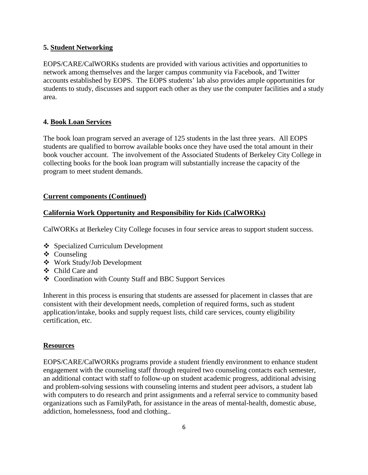### **5. Student Networking**

EOPS/CARE/CalWORKs students are provided with various activities and opportunities to network among themselves and the larger campus community via Facebook, and Twitter accounts established by EOPS. The EOPS students' lab also provides ample opportunities for students to study, discusses and support each other as they use the computer facilities and a study area.

## **4. Book Loan Services**

The book loan program served an average of 125 students in the last three years. All EOPS students are qualified to borrow available books once they have used the total amount in their book voucher account. The involvement of the Associated Students of Berkeley City College in collecting books for the book loan program will substantially increase the capacity of the program to meet student demands.

## **Current components (Continued)**

## **California Work Opportunity and Responsibility for Kids (CalWORKs)**

CalWORKs at Berkeley City College focuses in four service areas to support student success.

- ❖ Specialized Curriculum Development
- ❖ Counseling
- Work Study/Job Development
- Child Care and
- Coordination with County Staff and BBC Support Services

Inherent in this process is ensuring that students are assessed for placement in classes that are consistent with their development needs, completion of required forms, such as student application/intake, books and supply request lists, child care services, county eligibility certification, etc.

## **Resources**

EOPS/CARE/CalWORKs programs provide a student friendly environment to enhance student engagement with the counseling staff through required two counseling contacts each semester, an additional contact with staff to follow-up on student academic progress, additional advising and problem-solving sessions with counseling interns and student peer advisors, a student lab with computers to do research and print assignments and a referral service to community based organizations such as FamilyPath, for assistance in the areas of mental-health, domestic abuse, addiction, homelessness, food and clothing..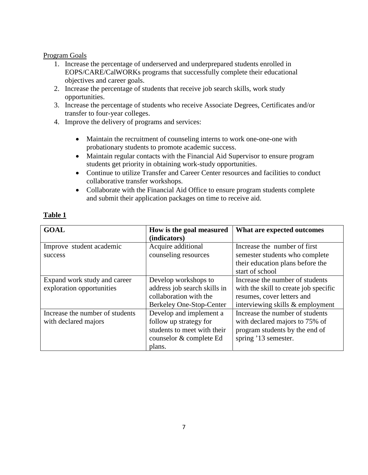### Program Goals

- 1. Increase the percentage of underserved and underprepared students enrolled in EOPS/CARE/CalWORKs programs that successfully complete their educational objectives and career goals.
- 2. Increase the percentage of students that receive job search skills, work study opportunities.
- 3. Increase the percentage of students who receive Associate Degrees, Certificates and/or transfer to four-year colleges.
- 4. Improve the delivery of programs and services:
	- Maintain the recruitment of counseling interns to work one-one-one with probationary students to promote academic success.
	- Maintain regular contacts with the Financial Aid Supervisor to ensure program students get priority in obtaining work-study opportunities.
	- Continue to utilize Transfer and Career Center resources and facilities to conduct collaborative transfer workshops.
	- Collaborate with the Financial Aid Office to ensure program students complete and submit their application packages on time to receive aid.

## **Table 1**

| <b>GOAL</b>                                               | How is the goal measured<br>(indicators)                                                                              | What are expected outcomes                                                                                                                 |
|-----------------------------------------------------------|-----------------------------------------------------------------------------------------------------------------------|--------------------------------------------------------------------------------------------------------------------------------------------|
| Improve student academic<br>success                       | Acquire additional<br>counseling resources                                                                            | Increase the number of first<br>semester students who complete<br>their education plans before the<br>start of school                      |
| Expand work study and career<br>exploration opportunities | Develop workshops to<br>address job search skills in<br>collaboration with the<br>Berkeley One-Stop-Center            | Increase the number of students<br>with the skill to create job specific<br>resumes, cover letters and<br>interviewing skills & employment |
| Increase the number of students<br>with declared majors   | Develop and implement a<br>follow up strategy for<br>students to meet with their<br>counselor & complete Ed<br>plans. | Increase the number of students<br>with declared majors to 75% of<br>program students by the end of<br>spring '13 semester.                |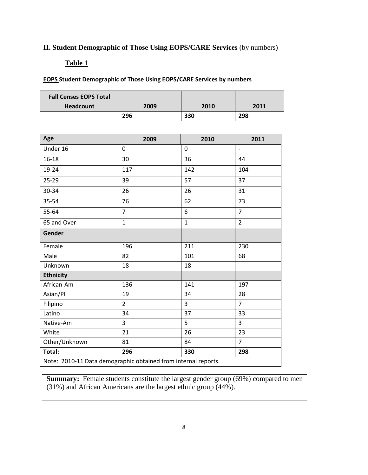# **II. Student Demographic of Those Using EOPS/CARE Services** (by numbers)

# **Table 1**

## **EOPS Student Demographic of Those Using EOPS/CARE Services by numbers**

| <b>Fall Censes EOPS Total</b><br><b>Headcount</b> | 2009 | 2010 | 2011 |
|---------------------------------------------------|------|------|------|
|                                                   | 296  | 330  | 298  |

| Age                                                            | 2009           | 2010           | 2011                     |
|----------------------------------------------------------------|----------------|----------------|--------------------------|
| Under 16                                                       | 0              | $\overline{0}$ | $\overline{\phantom{a}}$ |
| $16 - 18$                                                      | 30             | 36             | 44                       |
| 19-24                                                          | 117            | 142            | 104                      |
| 25-29                                                          | 39             | 57             | 37                       |
| 30-34                                                          | 26             | 26             | 31                       |
| 35-54                                                          | 76             | 62             | 73                       |
| 55-64                                                          | $\overline{7}$ | 6              | $\overline{7}$           |
| 65 and Over                                                    | $\mathbf{1}$   | $\mathbf{1}$   | $\overline{2}$           |
| Gender                                                         |                |                |                          |
| Female                                                         | 196            | 211            | 230                      |
| Male                                                           | 82             | 101            | 68                       |
| Unknown                                                        | 18             | 18             | $\overline{a}$           |
| <b>Ethnicity</b>                                               |                |                |                          |
| African-Am                                                     | 136            | 141            | 197                      |
| Asian/PI                                                       | 19             | 34             | 28                       |
| Filipino                                                       | $\overline{2}$ | $\overline{3}$ | $\overline{7}$           |
| Latino                                                         | 34             | 37             | 33                       |
| Native-Am                                                      | 3              | 5              | 3                        |
| White                                                          | 21             | 26             | 23                       |
| Other/Unknown                                                  | 81             | 84             | $\overline{7}$           |
| Total:                                                         | 296            | 330            | 298                      |
| Note: 2010-11 Data demographic obtained from internal reports. |                |                |                          |

**Summary:** Female students constitute the largest gender group (69%) compared to men (31%) and African Americans are the largest ethnic group (44%).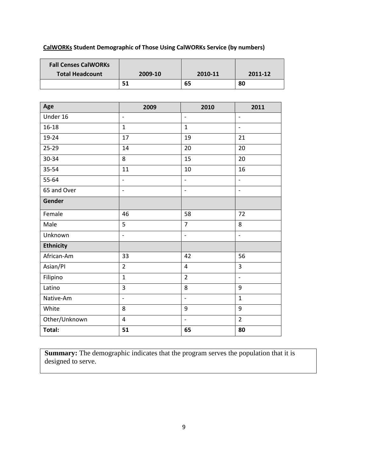# **CalWORKs Student Demographic of Those Using CalWORKs Service (by numbers)**

| <b>Fall Censes CalWORKs</b> |                          |                          |                          |
|-----------------------------|--------------------------|--------------------------|--------------------------|
| <b>Total Headcount</b>      | 2009-10                  | 2010-11                  | 2011-12                  |
|                             | 51                       | 65                       | 80                       |
|                             |                          |                          |                          |
| Age                         | 2009                     | 2010                     | 2011                     |
| Under 16                    | $\overline{\phantom{a}}$ | $\frac{1}{2}$            | $\overline{\phantom{a}}$ |
| $16 - 18$                   | $\mathbf{1}$             | $\mathbf{1}$             | $\overline{a}$           |
| 19-24                       | 17                       | 19                       | 21                       |
| $25 - 29$                   | 14                       | 20                       | 20                       |
| 30-34                       | 8                        | 15                       | 20                       |
| 35-54                       | 11                       | 10                       | 16                       |
| 55-64                       | $\overline{\phantom{a}}$ | $\frac{1}{2}$            | $\overline{a}$           |
| 65 and Over                 | $\overline{\phantom{a}}$ | $\overline{\phantom{a}}$ | $\overline{\phantom{a}}$ |
| Gender                      |                          |                          |                          |
| Female                      | 46                       | 58                       | 72                       |
| Male                        | 5                        | $\overline{7}$           | 8                        |
| Unknown                     | $\overline{\phantom{0}}$ | $\frac{1}{2}$            | $\blacksquare$           |
| <b>Ethnicity</b>            |                          |                          |                          |
| African-Am                  | 33                       | 42                       | 56                       |
| Asian/PI                    | $\overline{2}$           | $\overline{4}$           | $\overline{3}$           |
| Filipino                    | $\overline{1}$           | $\overline{2}$           | $\overline{a}$           |
| Latino                      | 3                        | 8                        | 9                        |
| Native-Am                   | $\overline{\phantom{a}}$ | $\overline{a}$           | $\mathbf{1}$             |
| White                       | 8                        | 9                        | 9                        |
| Other/Unknown               | $\overline{4}$           | $\overline{\phantom{a}}$ | $\overline{2}$           |
| Total:                      | 51                       | 65                       | 80                       |

**Summary:** The demographic indicates that the program serves the population that it is designed to serve.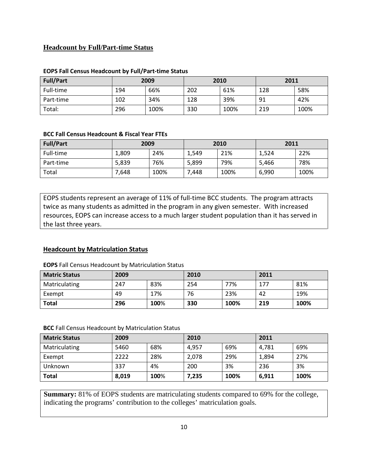# **Headcount by Full/Part-time Status**

| <b>Full/Part</b> | 2009 |      | 2010 |      | 2011 |      |
|------------------|------|------|------|------|------|------|
| Full-time        | 194  | 66%  | 202  | 61%  | 128  | 58%  |
| Part-time        | 102  | 34%  | 128  | 39%  | 91   | 42%  |
| Total:           | 296  | 100% | 330  | 100% | 219  | 100% |

#### **EOPS Fall Census Headcount by Full/Part-time Status**

#### **BCC Fall Census Headcount & Fiscal Year FTEs**

| <b>Full/Part</b> | 2009  |      | 2010  |      | 2011  |      |
|------------------|-------|------|-------|------|-------|------|
| Full-time        | 1.809 | 24%  | 1,549 | 21%  | 1,524 | 22%  |
| Part-time        | 5,839 | 76%  | 5.899 | 79%  | 5,466 | 78%  |
| Total            | 7,648 | 100% | 7,448 | 100% | 6,990 | 100% |

EOPS students represent an average of 11% of full-time BCC students. The program attracts twice as many students as admitted in the program in any given semester. With increased resources, EOPS can increase access to a much larger student population than it has served in the last three years.

#### **Headcount by Matriculation Status**

#### **EOPS** Fall Census Headcount by Matriculation Status

| <b>Matric Status</b> | 2009 |      | 2010 |      | 2011 |      |
|----------------------|------|------|------|------|------|------|
| Matriculating        | 247  | 83%  | 254  | 77%  | 177  | 81%  |
| Exempt               | 49   | 17%  | 76   | 23%  | 42   | 19%  |
| <b>Total</b>         | 296  | 100% | 330  | 100% | 219  | 100% |

#### **BCC** Fall Census Headcount by Matriculation Status

| <b>Matric Status</b> | 2009  |      | 2010  |      | 2011  |      |
|----------------------|-------|------|-------|------|-------|------|
| Matriculating        | 5460  | 68%  | 4,957 | 69%  | 4,781 | 69%  |
| Exempt               | 2222  | 28%  | 2,078 | 29%  | 1,894 | 27%  |
| Unknown              | 337   | 4%   | 200   | 3%   | 236   | 3%   |
| <b>Total</b>         | 8,019 | 100% | 7,235 | 100% | 6,911 | 100% |

**Summary:** 81% of EOPS students are matriculating students compared to 69% for the college, indicating the programs' contribution to the colleges' matriculation goals.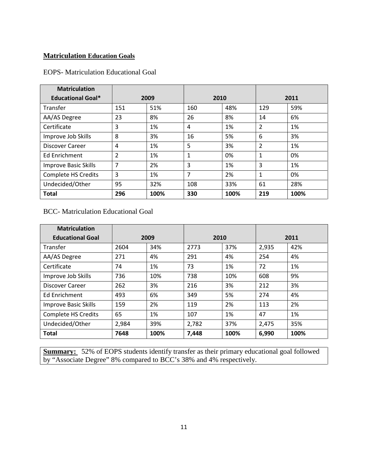# **Matriculation Education Goals**

### EOPS- Matriculation Educational Goal

| <b>Matriculation</b>        |                |      |             |      |     |      |  |
|-----------------------------|----------------|------|-------------|------|-----|------|--|
| <b>Educational Goal*</b>    |                | 2009 | 2010        |      |     | 2011 |  |
| Transfer                    | 151            | 51%  | 160         | 48%  | 129 | 59%  |  |
| AA/AS Degree                | 23             | 8%   | 26          | 8%   | 14  | 6%   |  |
| Certificate                 | 3              | 1%   | 4           | 1%   | 2   | 1%   |  |
| Improve Job Skills          | 8              | 3%   | 16          | 5%   | 6   | 3%   |  |
| <b>Discover Career</b>      | 4              | 1%   | 5           | 3%   | 2   | 1%   |  |
| <b>Ed Enrichment</b>        | 2              | 1%   | $\mathbf 1$ | 0%   | 1   | 0%   |  |
| <b>Improve Basic Skills</b> | $\overline{7}$ | 2%   | 3           | 1%   | 3   | 1%   |  |
| <b>Complete HS Credits</b>  | 3              | 1%   | 7           | 2%   | 1   | 0%   |  |
| Undecided/Other             | 95             | 32%  | 108         | 33%  | 61  | 28%  |  |
| <b>Total</b>                | 296            | 100% | 330         | 100% | 219 | 100% |  |

BCC- Matriculation Educational Goal

| <b>Matriculation</b>        |       |              |       |      |       |      |
|-----------------------------|-------|--------------|-------|------|-------|------|
| <b>Educational Goal</b>     |       | 2010<br>2009 |       |      | 2011  |      |
| Transfer                    | 2604  | 34%          | 2773  | 37%  | 2,935 | 42%  |
| AA/AS Degree                | 271   | 4%           | 291   | 4%   | 254   | 4%   |
| Certificate                 | 74    | 1%           | 73    | 1%   | 72    | 1%   |
| Improve Job Skills          | 736   | 10%          | 738   | 10%  | 608   | 9%   |
| <b>Discover Career</b>      | 262   | 3%           | 216   | 3%   | 212   | 3%   |
| <b>Ed Enrichment</b>        | 493   | 6%           | 349   | 5%   | 274   | 4%   |
| <b>Improve Basic Skills</b> | 159   | 2%           | 119   | 2%   | 113   | 2%   |
| <b>Complete HS Credits</b>  | 65    | 1%           | 107   | 1%   | 47    | 1%   |
| Undecided/Other             | 2,984 | 39%          | 2,782 | 37%  | 2,475 | 35%  |
| <b>Total</b>                | 7648  | 100%         | 7,448 | 100% | 6,990 | 100% |

**Summary:** 52% of EOPS students identify transfer as their primary educational goal followed by "Associate Degree" 8% compared to BCC's 38% and 4% respectively.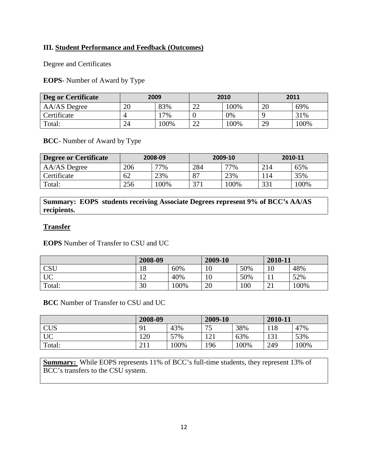## **III. Student Performance and Feedback (Outcomes)**

Degree and Certificates

**EOPS**- Number of Award by Type

| Deg or Certificate | 2009 |      | 2010         |      | 2011 |      |
|--------------------|------|------|--------------|------|------|------|
| AA/AS Degree       | 20   | 83%  | $\cap$<br>∠∠ | 100% | 20   | 69%  |
| Certificate        |      | 7%   |              | 0%   |      | 31%  |
| Total:             | 24   | 100% | $\cap$<br>∠∠ | 100% | 29   | 100% |

**BCC**- Number of Award by Type

| <b>Degree or Certificate</b> | 2008-09 |     | 2009-10 |      | 2010-11 |      |
|------------------------------|---------|-----|---------|------|---------|------|
| AA/AS Degree                 | 206     | 77% | 284     | 77%  | 214     | 65%  |
| Certificate                  | 62      | 23% | 87      | 23%  | 14ء     | 35%  |
| Total:                       | 256     | 00% | 271     | 100% | 331     | 100% |

**Summary: EOPS students receiving Associate Degrees represent 9% of BCC's AA/AS recipients.** 

## **Transfer**

**EOPS** Number of Transfer to CSU and UC

|           | 2008-09 |      | 2009-10 |     | 2010-11 |      |
|-----------|---------|------|---------|-----|---------|------|
| CSU       | 18      | 60%  | 10      | 50% | 10      | 48%  |
| <b>UC</b> | ∸       | 40%  | 10      | 50% |         | 52%  |
| Total:    | 30      | 100% | 20      | 100 | ⌒<br>∠⊥ | 100% |

**BCC** Number of Transfer to CSU and UC

|            | 2008-09                       |      | 2009-10           |      | 2010-11 |      |
|------------|-------------------------------|------|-------------------|------|---------|------|
| <b>CUS</b> | 91                            | 43%  | 75                | 38%  | 118     | 47%  |
| <b>UC</b>  | 120                           | 57%  | $1 \cap 1$<br>⊥∠⊥ | 63%  | 131     | 53%  |
| Total:     | $\mathbf{\Omega}$ 1.1<br>41 L | 100% | 196               | 100% | 249     | 100% |

**Summary:** While EOPS represents 11% of BCC's full-time students, they represent 13% of BCC's transfers to the CSU system.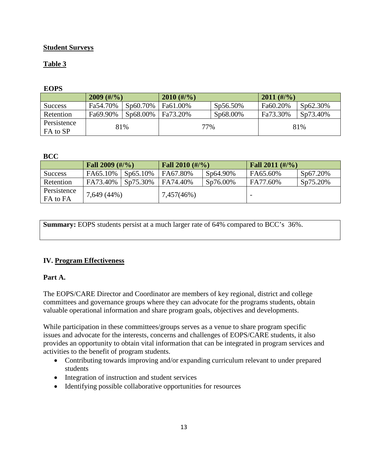# **Student Surveys**

# **Table 3**

# **EOPS**

|                         | $2009$ (#/%) |          | $2010$ (#/%) |             | $2011$ (#/%) |          |
|-------------------------|--------------|----------|--------------|-------------|--------------|----------|
| <b>Success</b>          | Fa54.70%     | Sp60.70% | Fa61.00%     | $Sp56.50\%$ | Fa60.20%     | Sp62.30% |
| Retention               | Fa69.90%     | Sp68.00% | Fa73.20%     | Sp68.00%    | Fa73.30%     | Sp73.40% |
| Persistence<br>FA to SP | 81%          |          | 77%          |             |              | 81%      |

## **BCC**

|                         | Fall $2009$ (#/%) |          | Fall 2010 $(\frac{\#}{\%})$ |          | <b>Fall 2011</b> $(\frac{\#}{\%})$ |          |
|-------------------------|-------------------|----------|-----------------------------|----------|------------------------------------|----------|
| Success                 | FA65.10%          | Sp65.10% | FA67.80%                    | Sp64.90% | FA65.60%                           | Sp67.20% |
| Retention               | FA73.40%          | Sp75.30% | FA74.40%                    | Sp76.00% | FA77.60%                           | Sp75.20% |
| Persistence<br>FA to FA | 7,649 (44%)       |          | 7,457(46%)                  |          |                                    |          |

**Summary:** EOPS students persist at a much larger rate of 64% compared to BCC's 36%.

# **IV. Program Effectiveness**

## **Part A.**

The EOPS/CARE Director and Coordinator are members of key regional, district and college committees and governance groups where they can advocate for the programs students, obtain valuable operational information and share program goals, objectives and developments.

While participation in these committees/groups serves as a venue to share program specific issues and advocate for the interests, concerns and challenges of EOPS/CARE students, it also provides an opportunity to obtain vital information that can be integrated in program services and activities to the benefit of program students.

- Contributing towards improving and/or expanding curriculum relevant to under prepared students
- Integration of instruction and student services
- Identifying possible collaborative opportunities for resources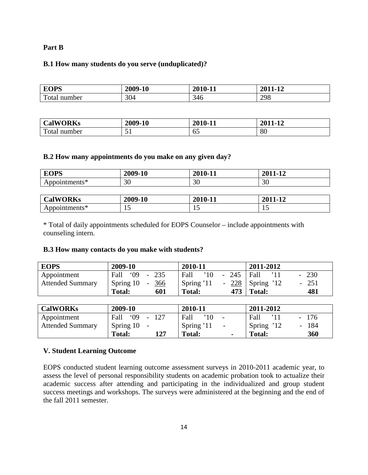#### **Part B**

#### **B.1 How many students do you serve (unduplicated)?**

| <b>FOPS</b>     | 2009-10 | 2010-11 | <b>2011</b><br>$\mathbf{A}$<br>11-12 |
|-----------------|---------|---------|--------------------------------------|
| Total<br>number | 304     | 346     | 298                                  |

| <b>CalWORKs</b>                 | 2009-10 | 2010-11   | 2011<br>$\mathbf{A}$ |
|---------------------------------|---------|-----------|----------------------|
| $\mathbf{r}$<br>`otal<br>number | -<br>ັ  | - -<br>∪J | 80                   |

#### **B.2 How many appointments do you make on any given day?**

| <b>EOPS</b>     | 2009-10 | 2010-11 | 2011-12 |
|-----------------|---------|---------|---------|
| Appointments*   | 30      | 30      | 30      |
|                 |         |         |         |
| <b>CalWORKs</b> | 2009-10 | 2010-11 | 2011-12 |
| Appointments*   |         | 15      | 15      |

\* Total of daily appointments scheduled for EOPS Counselor – include appointments with counseling intern.

#### **B.3 How many contacts do you make with students?**

| <b>EOPS</b>             | 2009-10             | 2010-11                                | 2011-2012                           |
|-------------------------|---------------------|----------------------------------------|-------------------------------------|
| Appointment             | Fall '09<br>$-235$  | $-245$   Fall<br>$^{\prime}10$<br>Fall | 230<br>$\overline{\phantom{a}}$     |
| <b>Attended Summary</b> | Spring 10<br>$-366$ | Spring '11                             | - $228$ Spring '12<br>251<br>$\sim$ |
|                         | Total:<br>601       | <b>Total:</b>                          | $473$ Total:<br>481                 |

| <b>CalWORKs</b>         | 2009-10              | 2010-11                                | 2011-2012                                     |
|-------------------------|----------------------|----------------------------------------|-----------------------------------------------|
| Appointment             | 09<br>Fall           | Fall<br>$^{\prime}10$                  | Fall<br>176<br>$\sim$                         |
| <b>Attended Summary</b> | Spring 10            | Spring '11<br>$\overline{\phantom{m}}$ | Spring '12<br>184<br>$\overline{\phantom{0}}$ |
|                         | 127<br><b>Total:</b> | Total:                                 | 360<br><b>Total:</b>                          |

#### **V. Student Learning Outcome**

EOPS conducted student learning outcome assessment surveys in 2010-2011 academic year, to assess the level of personal responsibility students on academic probation took to actualize their academic success after attending and participating in the individualized and group student success meetings and workshops. The surveys were administered at the beginning and the end of the fall 2011 semester.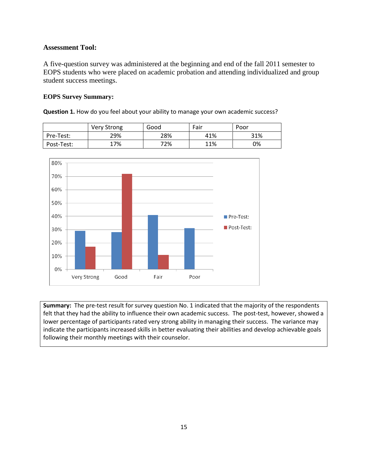### **Assessment Tool:**

A five-question survey was administered at the beginning and end of the fall 2011 semester to EOPS students who were placed on academic probation and attending individualized and group student success meetings.

#### **EOPS Survey Summary:**

**Question 1.** How do you feel about your ability to manage your own academic success?

|            | <b>Very Strong</b> | Good | Fair | Poor |
|------------|--------------------|------|------|------|
| Pre-Test:  | 29%                | 28%  | 41%  | 31%  |
| Post-Test: | 17%                | 72%  | 11%  | 0%   |



**Summary:** The pre-test result for survey question No. 1 indicated that the majority of the respondents felt that they had the ability to influence their own academic success. The post-test, however, showed a lower percentage of participants rated very strong ability in managing their success. The variance may indicate the participants increased skills in better evaluating their abilities and develop achievable goals following their monthly meetings with their counselor.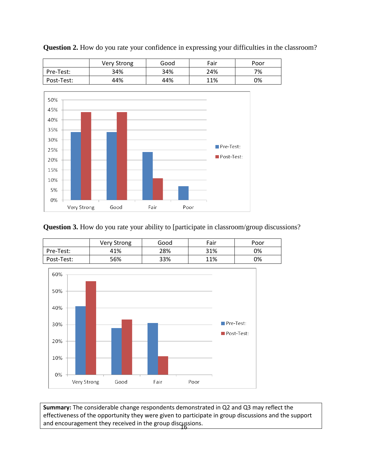





# **Question 3.** How do you rate your ability to [participate in classroom/group discussions?

|            | Very Strong | Good | Fair | Poor |
|------------|-------------|------|------|------|
| Pre-Test:  | 41%         | 28%  | 31%  | 0%   |
| Post-Test: | 56%         | 33%  | 11%  | 0%   |



and encouragement they received in the group discussions. **Summary:** The considerable change respondents demonstrated in Q2 and Q3 may reflect the effectiveness of the opportunity they were given to participate in group discussions and the support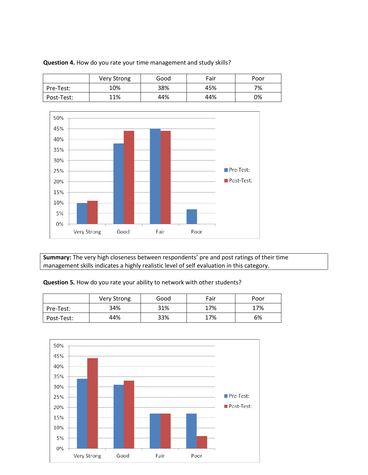|            | Very Strong | Good | Fair | Poor |
|------------|-------------|------|------|------|
| Pre-Test:  | 10%         | 38%  | 45%  | 7%   |
| Post-Test: | 11%         | 44%  | 44%  | 0%   |





**Summary:** The very high closeness between respondents' pre and post ratings of their time management skills indicates a highly realistic level of self evaluation in this category.

**Question 5.** How do you rate your ability to network with other students?

|            | Very Strong | Good | Fair | Poor |
|------------|-------------|------|------|------|
| Pre-Test:  | 34%         | 31%  | 17%  | 17%  |
| Post-Test: | 44%         | 33%  | 17%  | 6%   |

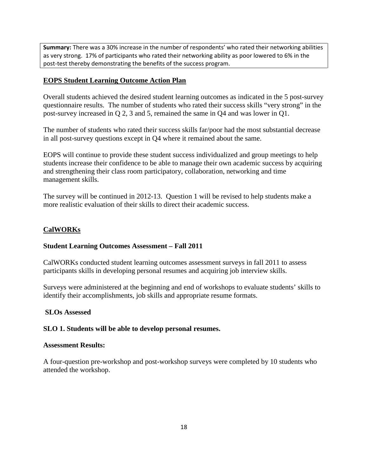**Summary:** There was a 30% increase in the number of respondents' who rated their networking abilities as very strong. 17% of participants who rated their networking ability as poor lowered to 6% in the post-test thereby demonstrating the benefits of the success program.

## **EOPS Student Learning Outcome Action Plan**

Overall students achieved the desired student learning outcomes as indicated in the 5 post-survey questionnaire results. The number of students who rated their success skills "very strong" in the post-survey increased in Q 2, 3 and 5, remained the same in Q4 and was lower in Q1.

The number of students who rated their success skills far/poor had the most substantial decrease in all post-survey questions except in Q4 where it remained about the same.

EOPS will continue to provide these student success individualized and group meetings to help students increase their confidence to be able to manage their own academic success by acquiring and strengthening their class room participatory, collaboration, networking and time management skills.

The survey will be continued in 2012-13. Question 1 will be revised to help students make a more realistic evaluation of their skills to direct their academic success.

## **CalWORKs**

#### **Student Learning Outcomes Assessment – Fall 2011**

CalWORKs conducted student learning outcomes assessment surveys in fall 2011 to assess participants skills in developing personal resumes and acquiring job interview skills.

Surveys were administered at the beginning and end of workshops to evaluate students' skills to identify their accomplishments, job skills and appropriate resume formats.

#### **SLOs Assessed**

#### **SLO 1. Students will be able to develop personal resumes.**

#### **Assessment Results:**

A four-question pre-workshop and post-workshop surveys were completed by 10 students who attended the workshop.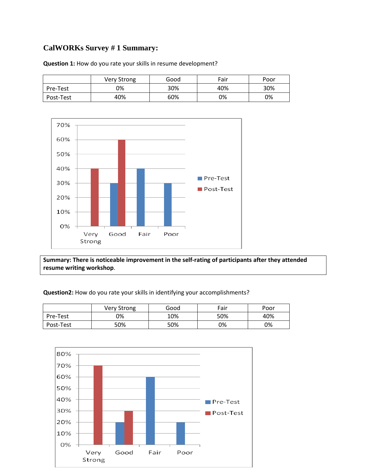# **CalWORKs Survey # 1 Summary:**

|           | Very Strong | Good | Fair | Poor |
|-----------|-------------|------|------|------|
| Pre-Test  | 0%          | 30%  | 40%  | 30%  |
| Post-Test | 40%         | 60%  | 0%   | 0%   |

**Question 1:** How do you rate your skills in resume development?



**Summary: There is noticeable improvement in the self-rating of participants after they attended resume writing workshop**.

**Question2:** How do you rate your skills in identifying your accomplishments?

|           | <b>Very Strong</b> | Good | Fair | Poor |
|-----------|--------------------|------|------|------|
| Pre-Test  | 0%                 | 10%  | 50%  | 40%  |
| Post-Test | 50%                | 50%  | 0%   | 0%   |

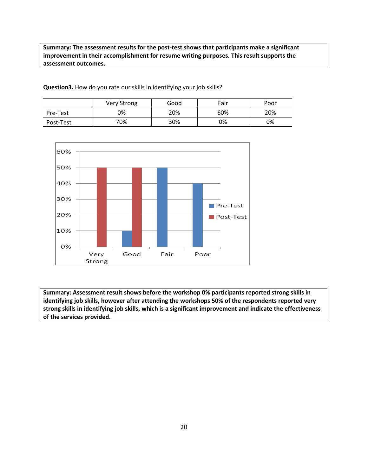**Summary: The assessment results for the post-test shows that participants make a significant improvement in their accomplishment for resume writing purposes. This result supports the assessment outcomes.**

|           | Very Strong | Good | Fair | Poor |
|-----------|-------------|------|------|------|
| Pre-Test  | 0%          | 20%  | 60%  | 20%  |
| Post-Test | 70%         | 30%  | 0%   | 0%   |

**Question3.** How do you rate our skills in identifying your job skills?



**Summary: Assessment result shows before the workshop 0% participants reported strong skills in identifying job skills, however after attending the workshops 50% of the respondents reported very strong skills in identifying job skills, which is a significant improvement and indicate the effectiveness of the services provided**.

20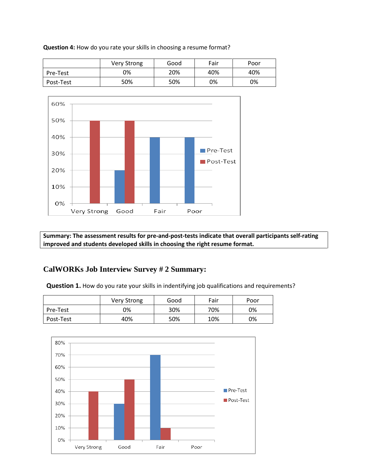Very Strong | Good | Fair | Poor Pre-Test 10% 20% 40% 40% Post-Test | 50% | 50% | 0% | 0%



**Summary: The assessment results for pre-and-post-tests indicate that overall participants self-rating improved and students developed skills in choosing the right resume format.**

# **CalWORKs Job Interview Survey # 2 Summary:**

**Question 1.** How do you rate your skills in indentifying job qualifications and requirements?

|           | <b>Very Strong</b> | Good | Fair | Poor |
|-----------|--------------------|------|------|------|
| Pre-Test  | 0%                 | 30%  | 70%  | 0%   |
| Post-Test | 40%                | 50%  | 10%  | 0%   |



**Question 4:** How do you rate your skills in choosing a resume format?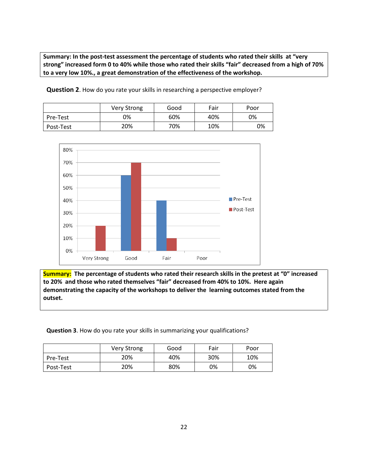**Summary: In the post-test assessment the percentage of students who rated their skills at "very strong" increased form 0 to 40% while those who rated their skills "fair" decreased from a high of 70% to a very low 10%., a great demonstration of the effectiveness of the workshop.**

|           | Very Strong | Good | Fair | Poor |
|-----------|-------------|------|------|------|
| Pre-Test  | 0%          | 60%  | 40%  | 0%   |
| Post-Test | 20%         | 70%  | 10%  | 0%   |

**Question 2**. How do you rate your skills in researching a perspective employer?



**Summary: The percentage of students who rated their research skills in the pretest at "0" increased to 20% and those who rated themselves "fair" decreased from 40% to 10%. Here again demonstrating the capacity of the workshops to deliver the learning outcomes stated from the outset.**

**Question 3**. How do you rate your skills in summarizing your qualifications?

|           | Very Strong | Good | Fair | Poor |
|-----------|-------------|------|------|------|
| Pre-Test  | 20%         | 40%  | 30%  | 10%  |
| Post-Test | 20%         | 80%  | 0%   | 0%   |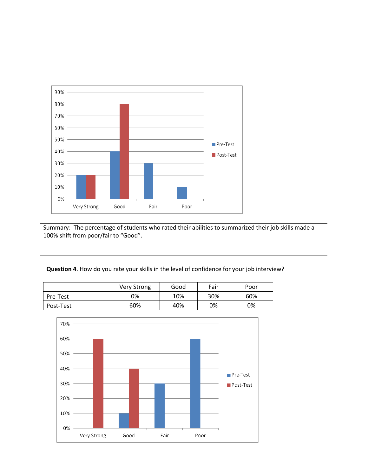

Summary: The percentage of students who rated their abilities to summarized their job skills made a 100% shift from poor/fair to "Good".

#### **Question 4**. How do you rate your skills in the level of confidence for your job interview?

|           | Very Strong | Good | Fair | Poor |
|-----------|-------------|------|------|------|
| Pre-Test  | 0%          | 10%  | 30%  | 60%  |
| Post-Test | 60%         | 40%  | 0%   | 0%   |

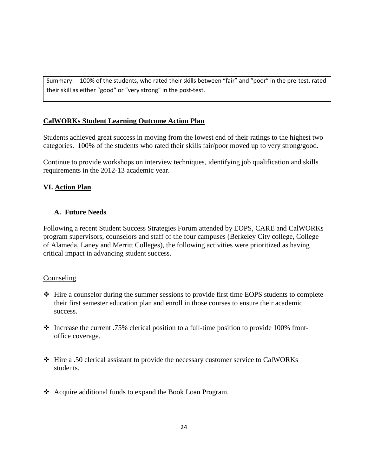Summary: 100% of the students, who rated their skills between "fair" and "poor" in the pre-test, rated their skill as either "good" or "very strong" in the post-test.

## **CalWORKs Student Learning Outcome Action Plan**

Students achieved great success in moving from the lowest end of their ratings to the highest two categories. 100% of the students who rated their skills fair/poor moved up to very strong/good.

Continue to provide workshops on interview techniques, identifying job qualification and skills requirements in the 2012-13 academic year.

## **VI. Action Plan**

## **A. Future Needs**

Following a recent Student Success Strategies Forum attended by EOPS, CARE and CalWORKs program supervisors, counselors and staff of the four campuses (Berkeley City college, College of Alameda, Laney and Merritt Colleges), the following activities were prioritized as having critical impact in advancing student success.

## **Counseling**

- $\triangle$  Hire a counselor during the summer sessions to provide first time EOPS students to complete their first semester education plan and enroll in those courses to ensure their academic success.
- Increase the current .75% clerical position to a full-time position to provide 100% frontoffice coverage.
- Hire a .50 clerical assistant to provide the necessary customer service to CalWORKs students.
- Acquire additional funds to expand the Book Loan Program.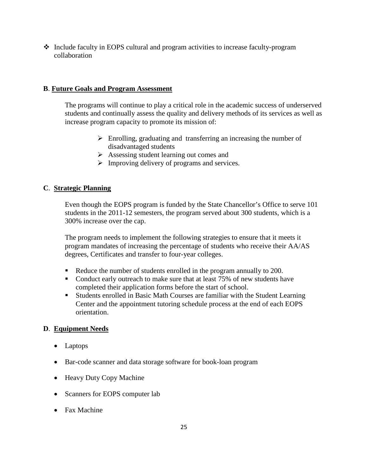$\div$  Include faculty in EOPS cultural and program activities to increase faculty-program collaboration

# **B**. **Future Goals and Program Assessment**

The programs will continue to play a critical role in the academic success of underserved students and continually assess the quality and delivery methods of its services as well as increase program capacity to promote its mission of:

- $\triangleright$  Enrolling, graduating and transferring an increasing the number of disadvantaged students
- $\triangleright$  Assessing student learning out comes and
- $\triangleright$  Improving delivery of programs and services.

## **C**. **Strategic Planning**

Even though the EOPS program is funded by the State Chancellor's Office to serve 101 students in the 2011-12 semesters, the program served about 300 students, which is a 300% increase over the cap.

The program needs to implement the following strategies to ensure that it meets it program mandates of increasing the percentage of students who receive their AA/AS degrees, Certificates and transfer to four-year colleges.

- Reduce the number of students enrolled in the program annually to 200.
- Conduct early outreach to make sure that at least 75% of new students have completed their application forms before the start of school.
- Students enrolled in Basic Math Courses are familiar with the Student Learning Center and the appointment tutoring schedule process at the end of each EOPS orientation.

# **D**. **Equipment Needs**

- Laptops
- Bar-code scanner and data storage software for book-loan program
- Heavy Duty Copy Machine
- Scanners for EOPS computer lab
- Fax Machine